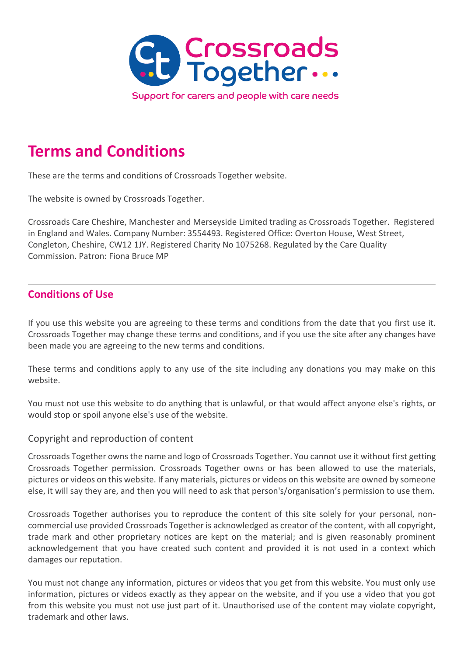

# **Terms and Conditions**

These are the terms and conditions of Crossroads Together website.

The website is owned by Crossroads Together.

Crossroads Care Cheshire, Manchester and Merseyside Limited trading as Crossroads Together. Registered in England and Wales. Company Number: 3554493. Registered Office: Overton House, West Street, Congleton, Cheshire, CW12 1JY. Registered Charity No 1075268. Regulated by the Care Quality Commission. Patron: Fiona Bruce MP

# **Conditions of Use**

If you use this website you are agreeing to these terms and conditions from the date that you first use it. Crossroads Together may change these terms and conditions, and if you use the site after any changes have been made you are agreeing to the new terms and conditions.

These terms and conditions apply to any use of the site including any donations you may make on this website.

You must not use this website to do anything that is unlawful, or that would affect anyone else's rights, or would stop or spoil anyone else's use of the website.

#### Copyright and reproduction of content

Crossroads Together owns the name and logo of Crossroads Together. You cannot use it without first getting Crossroads Together permission. Crossroads Together owns or has been allowed to use the materials, pictures or videos on this website. If any materials, pictures or videos on this website are owned by someone else, it will say they are, and then you will need to ask that person's/organisation's permission to use them.

Crossroads Together authorises you to reproduce the content of this site solely for your personal, noncommercial use provided Crossroads Together is acknowledged as creator of the content, with all copyright, trade mark and other proprietary notices are kept on the material; and is given reasonably prominent acknowledgement that you have created such content and provided it is not used in a context which damages our reputation.

You must not change any information, pictures or videos that you get from this website. You must only use information, pictures or videos exactly as they appear on the website, and if you use a video that you got from this website you must not use just part of it. Unauthorised use of the content may violate copyright, trademark and other laws.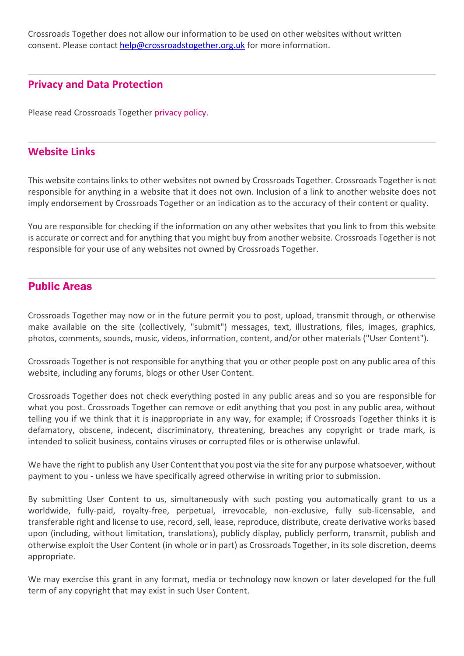Crossroads Together does not allow our information to be used on other websites without written consent. Please contact [help@crossroadstogether.org.uk](mailto:help@crossroadstogether.org.uk) for more information.

## **Privacy and Data Protection**

Please read Crossroads Together [privacy policy.](http://ct4all.1devserver.co.uk/wp-content/uploads/2019/01/PolicyOct2018.pdf)

### **Website Links**

This website contains links to other websites not owned by Crossroads Together. Crossroads Together is not responsible for anything in a website that it does not own. Inclusion of a link to another website does not imply endorsement by Crossroads Together or an indication as to the accuracy of their content or quality.

You are responsible for checking if the information on any other websites that you link to from this website is accurate or correct and for anything that you might buy from another website. Crossroads Together is not responsible for your use of any websites not owned by Crossroads Together.

# Public Areas

Crossroads Together may now or in the future permit you to post, upload, transmit through, or otherwise make available on the site (collectively, "submit") messages, text, illustrations, files, images, graphics, photos, comments, sounds, music, videos, information, content, and/or other materials ("User Content").

Crossroads Together is not responsible for anything that you or other people post on any public area of this website, including any forums, blogs or other User Content.

Crossroads Together does not check everything posted in any public areas and so you are responsible for what you post. Crossroads Together can remove or edit anything that you post in any public area, without telling you if we think that it is inappropriate in any way, for example; if Crossroads Together thinks it is defamatory, obscene, indecent, discriminatory, threatening, breaches any copyright or trade mark, is intended to solicit business, contains viruses or corrupted files or is otherwise unlawful.

We have the right to publish any User Content that you post via the site for any purpose whatsoever, without payment to you - unless we have specifically agreed otherwise in writing prior to submission.

By submitting User Content to us, simultaneously with such posting you automatically grant to us a worldwide, fully-paid, royalty-free, perpetual, irrevocable, non-exclusive, fully sub-licensable, and transferable right and license to use, record, sell, lease, reproduce, distribute, create derivative works based upon (including, without limitation, translations), publicly display, publicly perform, transmit, publish and otherwise exploit the User Content (in whole or in part) as Crossroads Together, in its sole discretion, deems appropriate.

We may exercise this grant in any format, media or technology now known or later developed for the full term of any copyright that may exist in such User Content.